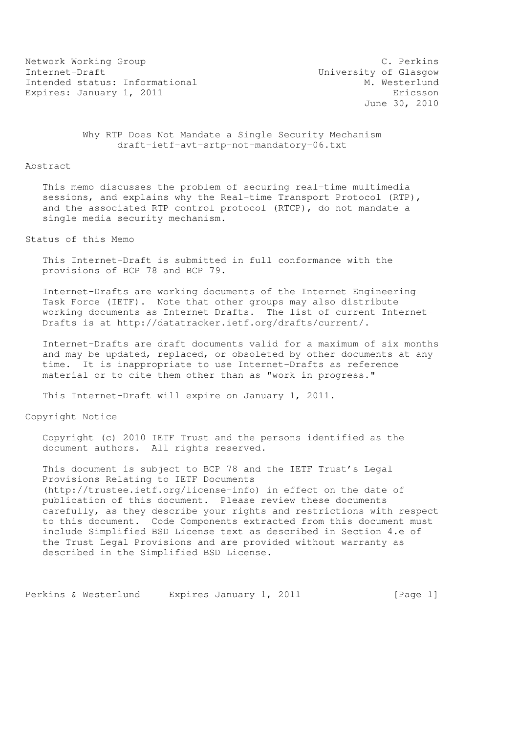Network Working Group C. Perkins Internet-Draft<br>Intended status: Informational M. Westerlund Intended status: Informational Expires: January 1, 2011 **Expires:** Expires:  $\sigma$ 

June 30, 2010

 Why RTP Does Not Mandate a Single Security Mechanism draft-ietf-avt-srtp-not-mandatory-06.txt

## Abstract

 This memo discusses the problem of securing real-time multimedia sessions, and explains why the Real-time Transport Protocol (RTP), and the associated RTP control protocol (RTCP), do not mandate a single media security mechanism.

Status of this Memo

 This Internet-Draft is submitted in full conformance with the provisions of BCP 78 and BCP 79.

 Internet-Drafts are working documents of the Internet Engineering Task Force (IETF). Note that other groups may also distribute working documents as Internet-Drafts. The list of current Internet- Drafts is at http://datatracker.ietf.org/drafts/current/.

 Internet-Drafts are draft documents valid for a maximum of six months and may be updated, replaced, or obsoleted by other documents at any time. It is inappropriate to use Internet-Drafts as reference material or to cite them other than as "work in progress."

This Internet-Draft will expire on January 1, 2011.

Copyright Notice

 Copyright (c) 2010 IETF Trust and the persons identified as the document authors. All rights reserved.

 This document is subject to BCP 78 and the IETF Trust's Legal Provisions Relating to IETF Documents (http://trustee.ietf.org/license-info) in effect on the date of publication of this document. Please review these documents carefully, as they describe your rights and restrictions with respect to this document. Code Components extracted from this document must include Simplified BSD License text as described in Section 4.e of the Trust Legal Provisions and are provided without warranty as described in the Simplified BSD License.

Perkins & Westerlund Expires January 1, 2011 [Page 1]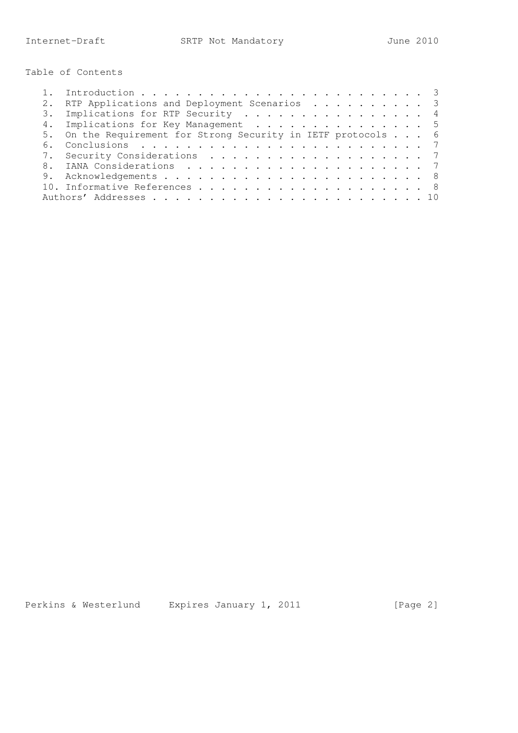Table of Contents

| 6. |                                                                                                                                                                                                                            |
|----|----------------------------------------------------------------------------------------------------------------------------------------------------------------------------------------------------------------------------|
|    |                                                                                                                                                                                                                            |
| 8. |                                                                                                                                                                                                                            |
|    |                                                                                                                                                                                                                            |
|    |                                                                                                                                                                                                                            |
|    |                                                                                                                                                                                                                            |
|    | RTP Applications and Deployment Scenarios 3<br>3. Implications for RTP Security 4<br>4. Implications for Key Management 5<br>5. On the Requirement for Strong Security in IETF protocols 6<br>7. Security Considerations 7 |

Perkins & Westerlund Expires January 1, 2011 [Page 2]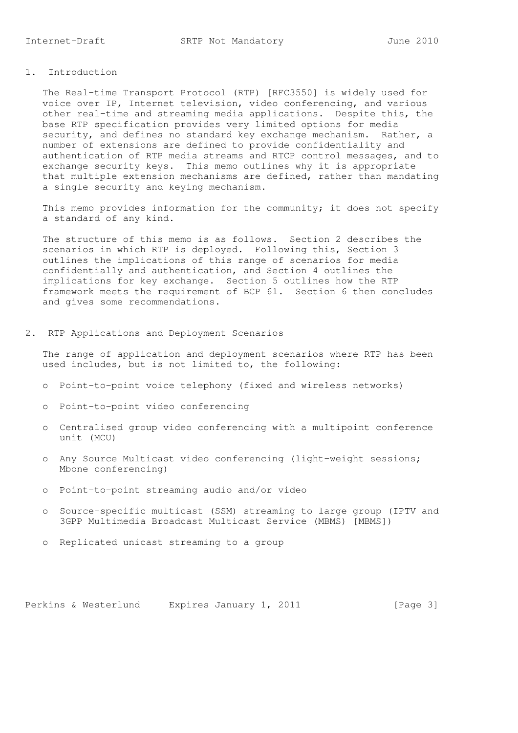The Real-time Transport Protocol (RTP) [RFC3550] is widely used for voice over IP, Internet television, video conferencing, and various other real-time and streaming media applications. Despite this, the base RTP specification provides very limited options for media security, and defines no standard key exchange mechanism. Rather, a number of extensions are defined to provide confidentiality and authentication of RTP media streams and RTCP control messages, and to exchange security keys. This memo outlines why it is appropriate that multiple extension mechanisms are defined, rather than mandating a single security and keying mechanism.

 This memo provides information for the community; it does not specify a standard of any kind.

 The structure of this memo is as follows. Section 2 describes the scenarios in which RTP is deployed. Following this, Section 3 outlines the implications of this range of scenarios for media confidentially and authentication, and Section 4 outlines the implications for key exchange. Section 5 outlines how the RTP framework meets the requirement of BCP 61. Section 6 then concludes and gives some recommendations.

2. RTP Applications and Deployment Scenarios

 The range of application and deployment scenarios where RTP has been used includes, but is not limited to, the following:

- o Point-to-point voice telephony (fixed and wireless networks)
- o Point-to-point video conferencing
- o Centralised group video conferencing with a multipoint conference unit (MCU)
- o Any Source Multicast video conferencing (light-weight sessions; Mbone conferencing)
- o Point-to-point streaming audio and/or video
- o Source-specific multicast (SSM) streaming to large group (IPTV and 3GPP Multimedia Broadcast Multicast Service (MBMS) [MBMS])
- o Replicated unicast streaming to a group

Perkins & Westerlund Expires January 1, 2011 [Page 3]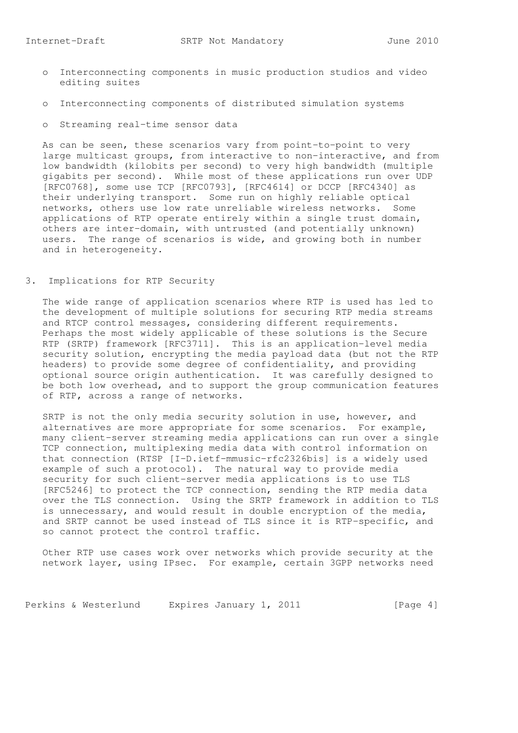- o Interconnecting components in music production studios and video editing suites
- o Interconnecting components of distributed simulation systems
- o Streaming real-time sensor data

 As can be seen, these scenarios vary from point-to-point to very large multicast groups, from interactive to non-interactive, and from low bandwidth (kilobits per second) to very high bandwidth (multiple gigabits per second). While most of these applications run over UDP [RFC0768], some use TCP [RFC0793], [RFC4614] or DCCP [RFC4340] as their underlying transport. Some run on highly reliable optical networks, others use low rate unreliable wireless networks. Some applications of RTP operate entirely within a single trust domain, others are inter-domain, with untrusted (and potentially unknown) users. The range of scenarios is wide, and growing both in number and in heterogeneity.

3. Implications for RTP Security

 The wide range of application scenarios where RTP is used has led to the development of multiple solutions for securing RTP media streams and RTCP control messages, considering different requirements. Perhaps the most widely applicable of these solutions is the Secure RTP (SRTP) framework [RFC3711]. This is an application-level media security solution, encrypting the media payload data (but not the RTP headers) to provide some degree of confidentiality, and providing optional source origin authentication. It was carefully designed to be both low overhead, and to support the group communication features of RTP, across a range of networks.

 SRTP is not the only media security solution in use, however, and alternatives are more appropriate for some scenarios. For example, many client-server streaming media applications can run over a single TCP connection, multiplexing media data with control information on that connection (RTSP [I-D.ietf-mmusic-rfc2326bis] is a widely used example of such a protocol). The natural way to provide media security for such client-server media applications is to use TLS [RFC5246] to protect the TCP connection, sending the RTP media data over the TLS connection. Using the SRTP framework in addition to TLS is unnecessary, and would result in double encryption of the media, and SRTP cannot be used instead of TLS since it is RTP-specific, and so cannot protect the control traffic.

 Other RTP use cases work over networks which provide security at the network layer, using IPsec. For example, certain 3GPP networks need

Perkins & Westerlund Expires January 1, 2011 [Page 4]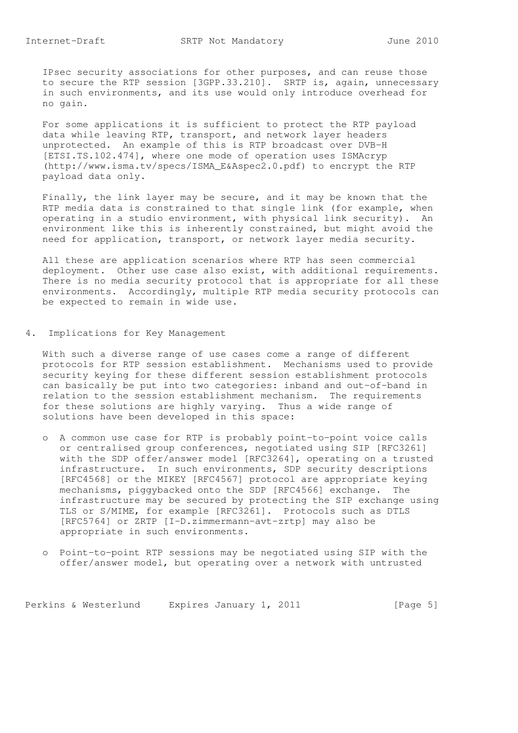IPsec security associations for other purposes, and can reuse those to secure the RTP session [3GPP.33.210]. SRTP is, again, unnecessary in such environments, and its use would only introduce overhead for no gain.

 For some applications it is sufficient to protect the RTP payload data while leaving RTP, transport, and network layer headers unprotected. An example of this is RTP broadcast over DVB-H [ETSI.TS.102.474], where one mode of operation uses ISMAcryp (http://www.isma.tv/specs/ISMA\_E&Aspec2.0.pdf) to encrypt the RTP payload data only.

 Finally, the link layer may be secure, and it may be known that the RTP media data is constrained to that single link (for example, when operating in a studio environment, with physical link security). An environment like this is inherently constrained, but might avoid the need for application, transport, or network layer media security.

 All these are application scenarios where RTP has seen commercial deployment. Other use case also exist, with additional requirements. There is no media security protocol that is appropriate for all these environments. Accordingly, multiple RTP media security protocols can be expected to remain in wide use.

4. Implications for Key Management

 With such a diverse range of use cases come a range of different protocols for RTP session establishment. Mechanisms used to provide security keying for these different session establishment protocols can basically be put into two categories: inband and out-of-band in relation to the session establishment mechanism. The requirements for these solutions are highly varying. Thus a wide range of solutions have been developed in this space:

- o A common use case for RTP is probably point-to-point voice calls or centralised group conferences, negotiated using SIP [RFC3261] with the SDP offer/answer model [RFC3264], operating on a trusted infrastructure. In such environments, SDP security descriptions [RFC4568] or the MIKEY [RFC4567] protocol are appropriate keying mechanisms, piggybacked onto the SDP [RFC4566] exchange. The infrastructure may be secured by protecting the SIP exchange using TLS or S/MIME, for example [RFC3261]. Protocols such as DTLS [RFC5764] or ZRTP [I-D.zimmermann-avt-zrtp] may also be appropriate in such environments.
- o Point-to-point RTP sessions may be negotiated using SIP with the offer/answer model, but operating over a network with untrusted

Perkins & Westerlund Expires January 1, 2011 [Page 5]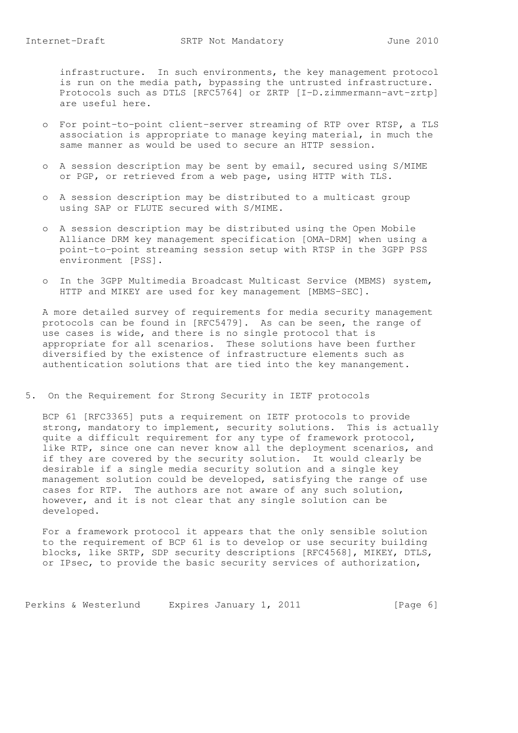infrastructure. In such environments, the key management protocol is run on the media path, bypassing the untrusted infrastructure. Protocols such as DTLS [RFC5764] or ZRTP [I-D.zimmermann-avt-zrtp] are useful here.

- o For point-to-point client-server streaming of RTP over RTSP, a TLS association is appropriate to manage keying material, in much the same manner as would be used to secure an HTTP session.
- o A session description may be sent by email, secured using S/MIME or PGP, or retrieved from a web page, using HTTP with TLS.
- o A session description may be distributed to a multicast group using SAP or FLUTE secured with S/MIME.
- o A session description may be distributed using the Open Mobile Alliance DRM key management specification [OMA-DRM] when using a point-to-point streaming session setup with RTSP in the 3GPP PSS environment [PSS].
- o In the 3GPP Multimedia Broadcast Multicast Service (MBMS) system, HTTP and MIKEY are used for key management [MBMS-SEC].

 A more detailed survey of requirements for media security management protocols can be found in [RFC5479]. As can be seen, the range of use cases is wide, and there is no single protocol that is appropriate for all scenarios. These solutions have been further diversified by the existence of infrastructure elements such as authentication solutions that are tied into the key manangement.

5. On the Requirement for Strong Security in IETF protocols

 BCP 61 [RFC3365] puts a requirement on IETF protocols to provide strong, mandatory to implement, security solutions. This is actually quite a difficult requirement for any type of framework protocol, like RTP, since one can never know all the deployment scenarios, and if they are covered by the security solution. It would clearly be desirable if a single media security solution and a single key management solution could be developed, satisfying the range of use cases for RTP. The authors are not aware of any such solution, however, and it is not clear that any single solution can be developed.

 For a framework protocol it appears that the only sensible solution to the requirement of BCP 61 is to develop or use security building blocks, like SRTP, SDP security descriptions [RFC4568], MIKEY, DTLS, or IPsec, to provide the basic security services of authorization,

Perkins & Westerlund Expires January 1, 2011 [Page 6]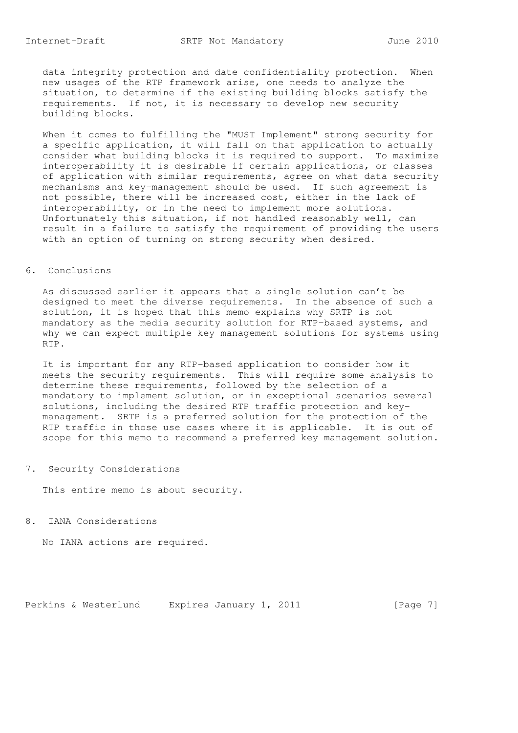data integrity protection and date confidentiality protection. When new usages of the RTP framework arise, one needs to analyze the situation, to determine if the existing building blocks satisfy the requirements. If not, it is necessary to develop new security building blocks.

 When it comes to fulfilling the "MUST Implement" strong security for a specific application, it will fall on that application to actually consider what building blocks it is required to support. To maximize interoperability it is desirable if certain applications, or classes of application with similar requirements, agree on what data security mechanisms and key-management should be used. If such agreement is not possible, there will be increased cost, either in the lack of interoperability, or in the need to implement more solutions. Unfortunately this situation, if not handled reasonably well, can result in a failure to satisfy the requirement of providing the users with an option of turning on strong security when desired.

## 6. Conclusions

 As discussed earlier it appears that a single solution can't be designed to meet the diverse requirements. In the absence of such a solution, it is hoped that this memo explains why SRTP is not mandatory as the media security solution for RTP-based systems, and why we can expect multiple key management solutions for systems using RTP.

 It is important for any RTP-based application to consider how it meets the security requirements. This will require some analysis to determine these requirements, followed by the selection of a mandatory to implement solution, or in exceptional scenarios several solutions, including the desired RTP traffic protection and key management. SRTP is a preferred solution for the protection of the RTP traffic in those use cases where it is applicable. It is out of scope for this memo to recommend a preferred key management solution.

## 7. Security Considerations

This entire memo is about security.

8. IANA Considerations

No IANA actions are required.

Perkins & Westerlund Expires January 1, 2011 [Page 7]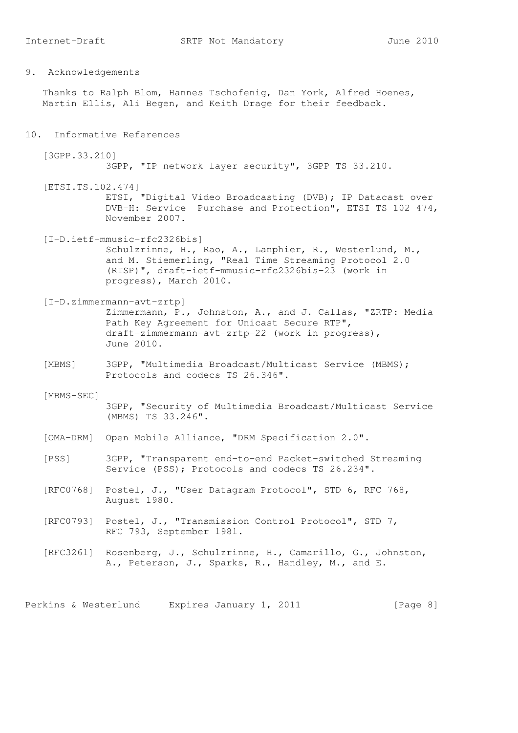Thanks to Ralph Blom, Hannes Tschofenig, Dan York, Alfred Hoenes, Martin Ellis, Ali Begen, and Keith Drage for their feedback.

10. Informative References

 [3GPP.33.210] 3GPP, "IP network layer security", 3GPP TS 33.210.

 [ETSI.TS.102.474] ETSI, "Digital Video Broadcasting (DVB); IP Datacast over DVB-H: Service Purchase and Protection", ETSI TS 102 474, November 2007.

 [I-D.ietf-mmusic-rfc2326bis] Schulzrinne, H., Rao, A., Lanphier, R., Westerlund, M., and M. Stiemerling, "Real Time Streaming Protocol 2.0 (RTSP)", draft-ietf-mmusic-rfc2326bis-23 (work in progress), March 2010.

- [I-D.zimmermann-avt-zrtp] Zimmermann, P., Johnston, A., and J. Callas, "ZRTP: Media Path Key Agreement for Unicast Secure RTP", draft-zimmermann-avt-zrtp-22 (work in progress), June 2010.
- [MBMS] 3GPP, "Multimedia Broadcast/Multicast Service (MBMS); Protocols and codecs TS 26.346".
- [MBMS-SEC] 3GPP, "Security of Multimedia Broadcast/Multicast Service (MBMS) TS 33.246".
- [OMA-DRM] Open Mobile Alliance, "DRM Specification 2.0".
- [PSS] 3GPP, "Transparent end-to-end Packet-switched Streaming Service (PSS); Protocols and codecs TS 26.234".
- [RFC0768] Postel, J., "User Datagram Protocol", STD 6, RFC 768, August 1980.
- [RFC0793] Postel, J., "Transmission Control Protocol", STD 7, RFC 793, September 1981.
- [RFC3261] Rosenberg, J., Schulzrinne, H., Camarillo, G., Johnston, A., Peterson, J., Sparks, R., Handley, M., and E.

Perkins & Westerlund Expires January 1, 2011 [Page 8]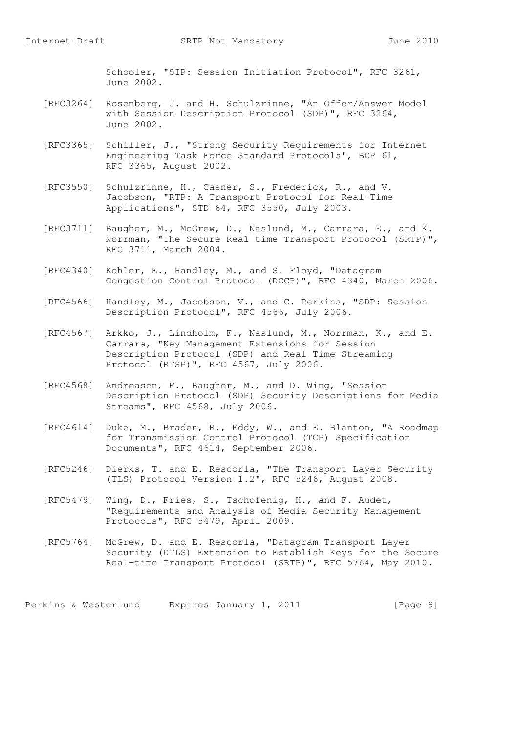Schooler, "SIP: Session Initiation Protocol", RFC 3261, June 2002.

- [RFC3264] Rosenberg, J. and H. Schulzrinne, "An Offer/Answer Model with Session Description Protocol (SDP)", RFC 3264, June 2002.
- [RFC3365] Schiller, J., "Strong Security Requirements for Internet Engineering Task Force Standard Protocols", BCP 61, RFC 3365, August 2002.
- [RFC3550] Schulzrinne, H., Casner, S., Frederick, R., and V. Jacobson, "RTP: A Transport Protocol for Real-Time Applications", STD 64, RFC 3550, July 2003.
- [RFC3711] Baugher, M., McGrew, D., Naslund, M., Carrara, E., and K. Norrman, "The Secure Real-time Transport Protocol (SRTP)", RFC 3711, March 2004.
- [RFC4340] Kohler, E., Handley, M., and S. Floyd, "Datagram Congestion Control Protocol (DCCP)", RFC 4340, March 2006.
- [RFC4566] Handley, M., Jacobson, V., and C. Perkins, "SDP: Session Description Protocol", RFC 4566, July 2006.
- [RFC4567] Arkko, J., Lindholm, F., Naslund, M., Norrman, K., and E. Carrara, "Key Management Extensions for Session Description Protocol (SDP) and Real Time Streaming Protocol (RTSP)", RFC 4567, July 2006.
- [RFC4568] Andreasen, F., Baugher, M., and D. Wing, "Session Description Protocol (SDP) Security Descriptions for Media Streams", RFC 4568, July 2006.
	- [RFC4614] Duke, M., Braden, R., Eddy, W., and E. Blanton, "A Roadmap for Transmission Control Protocol (TCP) Specification Documents", RFC 4614, September 2006.
- [RFC5246] Dierks, T. and E. Rescorla, "The Transport Layer Security (TLS) Protocol Version 1.2", RFC 5246, August 2008.
	- [RFC5479] Wing, D., Fries, S., Tschofenig, H., and F. Audet, "Requirements and Analysis of Media Security Management Protocols", RFC 5479, April 2009.
	- [RFC5764] McGrew, D. and E. Rescorla, "Datagram Transport Layer Security (DTLS) Extension to Establish Keys for the Secure Real-time Transport Protocol (SRTP)", RFC 5764, May 2010.

Perkins & Westerlund Expires January 1, 2011 [Page 9]